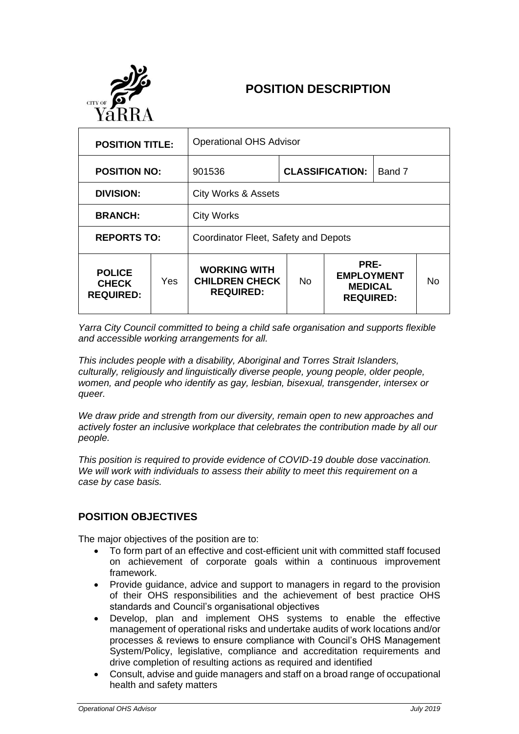

## **POSITION DESCRIPTION**

| <b>POSITION TITLE:</b>                            |     | <b>Operational OHS Advisor</b>                                   |                        |                                                                 |        |    |
|---------------------------------------------------|-----|------------------------------------------------------------------|------------------------|-----------------------------------------------------------------|--------|----|
| <b>POSITION NO:</b>                               |     | 901536                                                           | <b>CLASSIFICATION:</b> |                                                                 | Band 7 |    |
| <b>DIVISION:</b>                                  |     | <b>City Works &amp; Assets</b>                                   |                        |                                                                 |        |    |
| <b>BRANCH:</b>                                    |     | <b>City Works</b>                                                |                        |                                                                 |        |    |
| <b>REPORTS TO:</b>                                |     | Coordinator Fleet, Safety and Depots                             |                        |                                                                 |        |    |
| <b>POLICE</b><br><b>CHECK</b><br><b>REQUIRED:</b> | Yes | <b>WORKING WITH</b><br><b>CHILDREN CHECK</b><br><b>REQUIRED:</b> | No.                    | PRE-<br><b>EMPLOYMENT</b><br><b>MEDICAL</b><br><b>REQUIRED:</b> |        | N٥ |

*Yarra City Council committed to being a child safe organisation and supports flexible and accessible working arrangements for all.*

*This includes people with a disability, Aboriginal and Torres Strait Islanders, culturally, religiously and linguistically diverse people, young people, older people, women, and people who identify as gay, lesbian, bisexual, transgender, intersex or queer.*

*We draw pride and strength from our diversity, remain open to new approaches and actively foster an inclusive workplace that celebrates the contribution made by all our people.*

*This position is required to provide evidence of COVID-19 double dose vaccination. We will work with individuals to assess their ability to meet this requirement on a case by case basis.*

## **POSITION OBJECTIVES**

The major objectives of the position are to:

- To form part of an effective and cost-efficient unit with committed staff focused on achievement of corporate goals within a continuous improvement framework.
- Provide guidance, advice and support to managers in regard to the provision of their OHS responsibilities and the achievement of best practice OHS standards and Council's organisational objectives
- Develop, plan and implement OHS systems to enable the effective management of operational risks and undertake audits of work locations and/or processes & reviews to ensure compliance with Council's OHS Management System/Policy, legislative, compliance and accreditation requirements and drive completion of resulting actions as required and identified
- Consult, advise and guide managers and staff on a broad range of occupational health and safety matters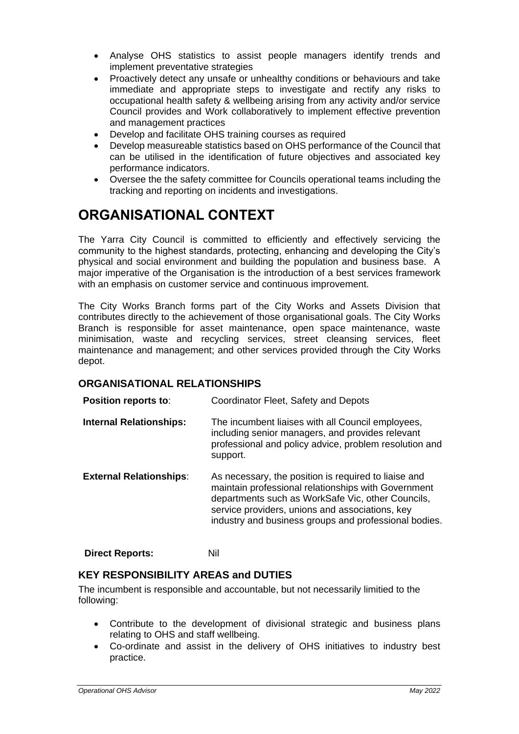- Analyse OHS statistics to assist people managers identify trends and implement preventative strategies
- Proactively detect any unsafe or unhealthy conditions or behaviours and take immediate and appropriate steps to investigate and rectify any risks to occupational health safety & wellbeing arising from any activity and/or service Council provides and Work collaboratively to implement effective prevention and management practices
- Develop and facilitate OHS training courses as required
- Develop measureable statistics based on OHS performance of the Council that can be utilised in the identification of future objectives and associated key performance indicators.
- Oversee the the safety committee for Councils operational teams including the tracking and reporting on incidents and investigations.

# **ORGANISATIONAL CONTEXT**

The Yarra City Council is committed to efficiently and effectively servicing the community to the highest standards, protecting, enhancing and developing the City's physical and social environment and building the population and business base. A major imperative of the Organisation is the introduction of a best services framework with an emphasis on customer service and continuous improvement.

The City Works Branch forms part of the City Works and Assets Division that contributes directly to the achievement of those organisational goals. The City Works Branch is responsible for asset maintenance, open space maintenance, waste minimisation, waste and recycling services, street cleansing services, fleet maintenance and management; and other services provided through the City Works depot.

#### **ORGANISATIONAL RELATIONSHIPS**

| Position reports to:           | Coordinator Fleet, Safety and Depots                                                                                                                                                                                |
|--------------------------------|---------------------------------------------------------------------------------------------------------------------------------------------------------------------------------------------------------------------|
| <b>Internal Relationships:</b> | The incumbent liaises with all Council employees,<br>including senior managers, and provides relevant<br>professional and policy advice, problem resolution and<br>support.                                         |
| <b>External Relationships:</b> | As necessary, the position is required to liaise and<br>maintain professional relationships with Government<br>departments such as WorkSafe Vic, other Councils,<br>service providers, unions and associations, key |

industry and business groups and professional bodies.

**Direct Reports:** Nil

#### **KEY RESPONSIBILITY AREAS and DUTIES**

The incumbent is responsible and accountable, but not necessarily limitied to the following:

- Contribute to the development of divisional strategic and business plans relating to OHS and staff wellbeing.
- Co-ordinate and assist in the delivery of OHS initiatives to industry best practice.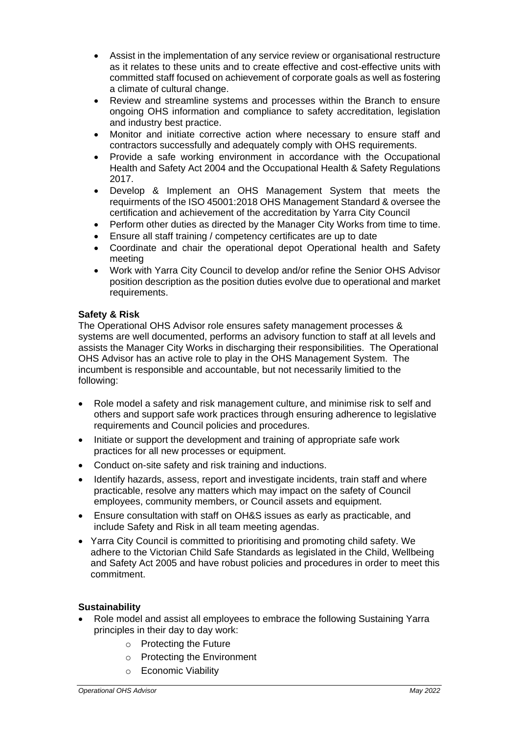- Assist in the implementation of any service review or organisational restructure as it relates to these units and to create effective and cost-effective units with committed staff focused on achievement of corporate goals as well as fostering a climate of cultural change.
- Review and streamline systems and processes within the Branch to ensure ongoing OHS information and compliance to safety accreditation, legislation and industry best practice.
- Monitor and initiate corrective action where necessary to ensure staff and contractors successfully and adequately comply with OHS requirements.
- Provide a safe working environment in accordance with the Occupational Health and Safety Act 2004 and the Occupational Health & Safety Regulations 2017.
- Develop & Implement an OHS Management System that meets the requirments of the ISO 45001:2018 OHS Management Standard & oversee the certification and achievement of the accreditation by Yarra City Council
- Perform other duties as directed by the Manager City Works from time to time.
- Ensure all staff training / competency certificates are up to date
- Coordinate and chair the operational depot Operational health and Safety meeting
- Work with Yarra City Council to develop and/or refine the Senior OHS Advisor position description as the position duties evolve due to operational and market requirements.

#### **Safety & Risk**

The Operational OHS Advisor role ensures safety management processes & systems are well documented, performs an advisory function to staff at all levels and assists the Manager City Works in discharging their responsibilities. The Operational OHS Advisor has an active role to play in the OHS Management System. The incumbent is responsible and accountable, but not necessarily limitied to the following:

- Role model a safety and risk management culture, and minimise risk to self and others and support safe work practices through ensuring adherence to legislative requirements and Council policies and procedures.
- Initiate or support the development and training of appropriate safe work practices for all new processes or equipment.
- Conduct on-site safety and risk training and inductions.
- Identify hazards, assess, report and investigate incidents, train staff and where practicable, resolve any matters which may impact on the safety of Council employees, community members, or Council assets and equipment.
- Ensure consultation with staff on OH&S issues as early as practicable, and include Safety and Risk in all team meeting agendas.
- Yarra City Council is committed to prioritising and promoting child safety. We adhere to the Victorian Child Safe Standards as legislated in the Child, Wellbeing and Safety Act 2005 and have robust policies and procedures in order to meet this commitment.

#### **Sustainability**

- Role model and assist all employees to embrace the following Sustaining Yarra principles in their day to day work:
	- o Protecting the Future
	- o Protecting the Environment
	- o Economic Viability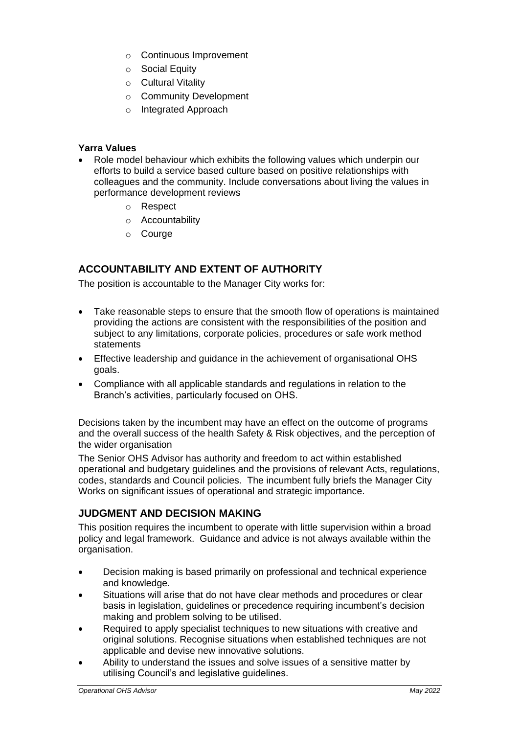- o Continuous Improvement
- o Social Equity
- o Cultural Vitality
- o Community Development
- o Integrated Approach

#### **Yarra Values**

- Role model behaviour which exhibits the following values which underpin our efforts to build a service based culture based on positive relationships with colleagues and the community. Include conversations about living the values in performance development reviews
	- o Respect
	- o Accountability
	- o Courge

## **ACCOUNTABILITY AND EXTENT OF AUTHORITY**

The position is accountable to the Manager City works for:

- Take reasonable steps to ensure that the smooth flow of operations is maintained providing the actions are consistent with the responsibilities of the position and subject to any limitations, corporate policies, procedures or safe work method statements
- Effective leadership and guidance in the achievement of organisational OHS goals.
- Compliance with all applicable standards and regulations in relation to the Branch's activities, particularly focused on OHS.

Decisions taken by the incumbent may have an effect on the outcome of programs and the overall success of the health Safety & Risk objectives, and the perception of the wider organisation

The Senior OHS Advisor has authority and freedom to act within established operational and budgetary guidelines and the provisions of relevant Acts, regulations, codes, standards and Council policies. The incumbent fully briefs the Manager City Works on significant issues of operational and strategic importance.

#### **JUDGMENT AND DECISION MAKING**

This position requires the incumbent to operate with little supervision within a broad policy and legal framework. Guidance and advice is not always available within the organisation.

- Decision making is based primarily on professional and technical experience and knowledge.
- Situations will arise that do not have clear methods and procedures or clear basis in legislation, guidelines or precedence requiring incumbent's decision making and problem solving to be utilised.
- Required to apply specialist techniques to new situations with creative and original solutions. Recognise situations when established techniques are not applicable and devise new innovative solutions.
- Ability to understand the issues and solve issues of a sensitive matter by utilising Council's and legislative guidelines.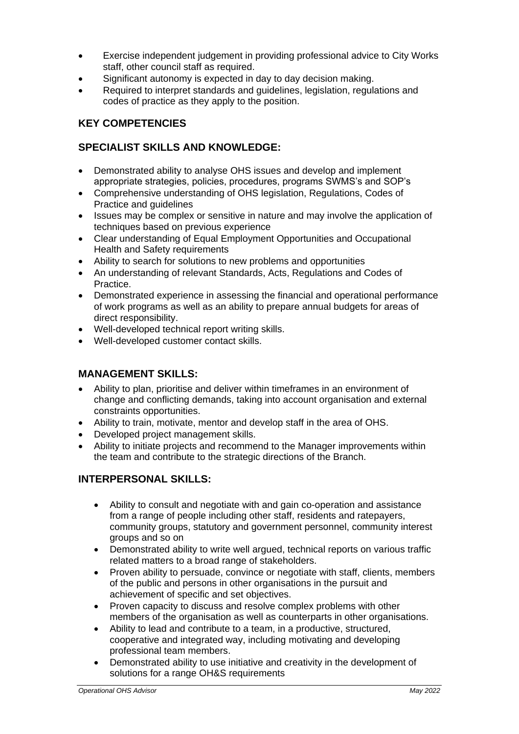- Exercise independent judgement in providing professional advice to City Works staff, other council staff as required.
- Significant autonomy is expected in day to day decision making.
- Required to interpret standards and guidelines, legislation, regulations and codes of practice as they apply to the position.

## **KEY COMPETENCIES**

## **SPECIALIST SKILLS AND KNOWLEDGE:**

- Demonstrated ability to analyse OHS issues and develop and implement appropriate strategies, policies, procedures, programs SWMS's and SOP's
- Comprehensive understanding of OHS legislation, Regulations, Codes of Practice and guidelines
- Issues may be complex or sensitive in nature and may involve the application of techniques based on previous experience
- Clear understanding of Equal Employment Opportunities and Occupational Health and Safety requirements
- Ability to search for solutions to new problems and opportunities
- An understanding of relevant Standards, Acts, Regulations and Codes of Practice.
- Demonstrated experience in assessing the financial and operational performance of work programs as well as an ability to prepare annual budgets for areas of direct responsibility.
- Well-developed technical report writing skills.
- Well-developed customer contact skills.

#### **MANAGEMENT SKILLS:**

- Ability to plan, prioritise and deliver within timeframes in an environment of change and conflicting demands, taking into account organisation and external constraints opportunities.
- Ability to train, motivate, mentor and develop staff in the area of OHS.
- Developed project management skills.
- Ability to initiate projects and recommend to the Manager improvements within the team and contribute to the strategic directions of the Branch.

## **INTERPERSONAL SKILLS:**

- Ability to consult and negotiate with and gain co-operation and assistance from a range of people including other staff, residents and ratepayers, community groups, statutory and government personnel, community interest groups and so on
- Demonstrated ability to write well argued, technical reports on various traffic related matters to a broad range of stakeholders.
- Proven ability to persuade, convince or negotiate with staff, clients, members of the public and persons in other organisations in the pursuit and achievement of specific and set objectives.
- Proven capacity to discuss and resolve complex problems with other members of the organisation as well as counterparts in other organisations.
- Ability to lead and contribute to a team, in a productive, structured, cooperative and integrated way, including motivating and developing professional team members.
- Demonstrated ability to use initiative and creativity in the development of solutions for a range OH&S requirements